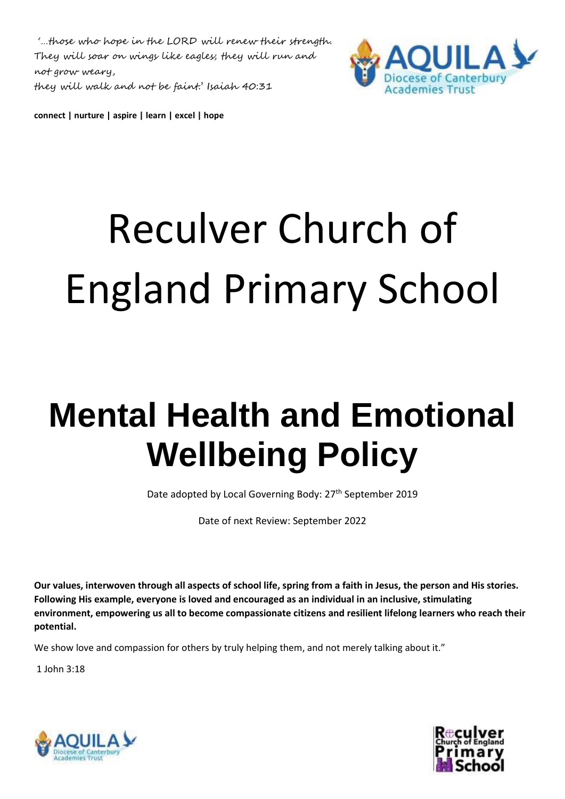'…those who hope in the LORD will renew their strength. They will soar on wings like eagles; they will run and not grow weary, they will walk and not be faint.' Isaiah 40:31



**connect | nurture | aspire | learn | excel | hope** 

# Reculver Church of England Primary School

# **Mental Health and Emotional Wellbeing Policy**

Date adopted by Local Governing Body: 27<sup>th</sup> September 2019

Date of next Review: September 2022

**Our values, interwoven through all aspects of school life, spring from a faith in Jesus, the person and His stories. Following His example, everyone is loved and encouraged as an individual in an inclusive, stimulating environment, empowering us all to become compassionate citizens and resilient lifelong learners who reach their potential.**

We show love and compassion for others by truly helping them, and not merely talking about it."

1 John 3:18



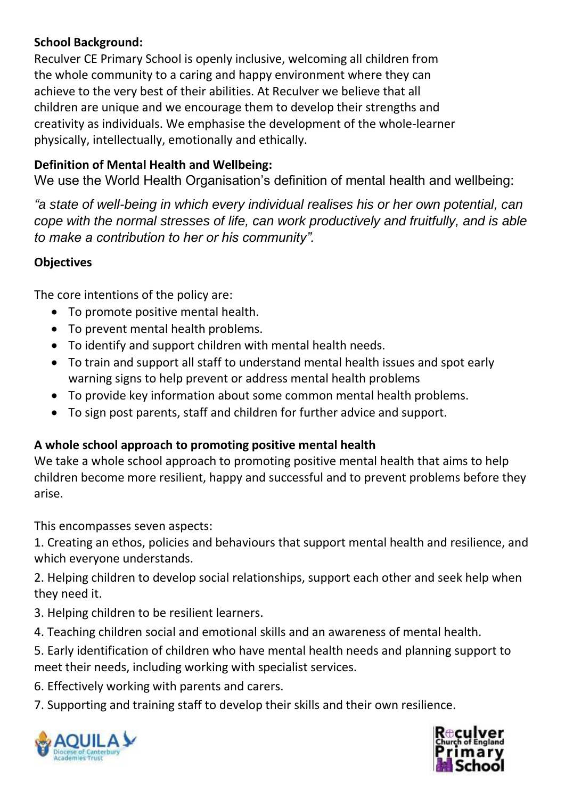#### **School Background:**

Reculver CE Primary School is openly inclusive, welcoming all children from the whole community to a caring and happy environment where they can achieve to the very best of their abilities. At Reculver we believe that all children are unique and we encourage them to develop their strengths and creativity as individuals. We emphasise the development of the whole-learner physically, intellectually, emotionally and ethically.

# **Definition of Mental Health and Wellbeing:**

We use the World Health Organisation's definition of mental health and wellbeing:

*"a state of well-being in which every individual realises his or her own potential, can cope with the normal stresses of life, can work productively and fruitfully, and is able to make a contribution to her or his community".*

# **Objectives**

The core intentions of the policy are:

- To promote positive mental health.
- To prevent mental health problems.
- To identify and support children with mental health needs.
- To train and support all staff to understand mental health issues and spot early warning signs to help prevent or address mental health problems
- To provide key information about some common mental health problems.
- To sign post parents, staff and children for further advice and support.

#### **A whole school approach to promoting positive mental health**

We take a whole school approach to promoting positive mental health that aims to help children become more resilient, happy and successful and to prevent problems before they arise.

This encompasses seven aspects:

1. Creating an ethos, policies and behaviours that support mental health and resilience, and which everyone understands.

2. Helping children to develop social relationships, support each other and seek help when they need it.

- 3. Helping children to be resilient learners.
- 4. Teaching children social and emotional skills and an awareness of mental health.

5. Early identification of children who have mental health needs and planning support to meet their needs, including working with specialist services.

6. Effectively working with parents and carers.

7. Supporting and training staff to develop their skills and their own resilience.



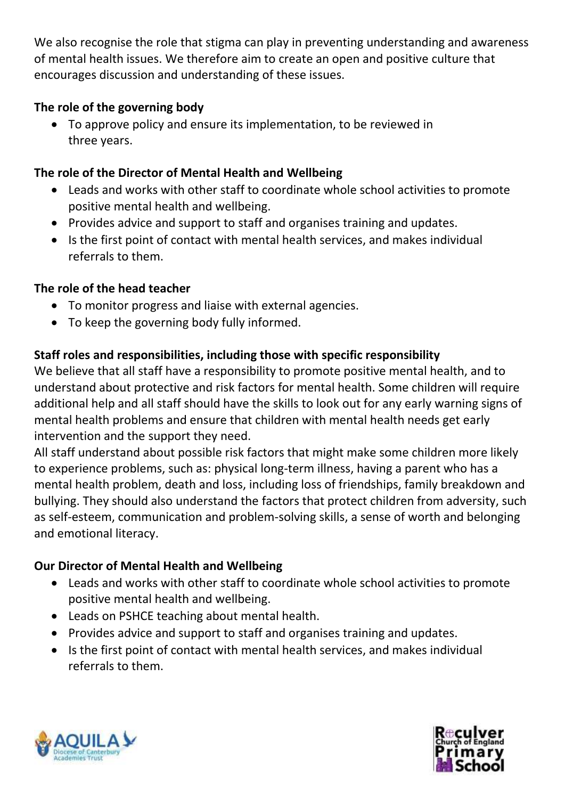We also recognise the role that stigma can play in preventing understanding and awareness of mental health issues. We therefore aim to create an open and positive culture that encourages discussion and understanding of these issues.

# **The role of the governing body**

 To approve policy and ensure its implementation, to be reviewed in three years.

# **The role of the Director of Mental Health and Wellbeing**

- Leads and works with other staff to coordinate whole school activities to promote positive mental health and wellbeing.
- Provides advice and support to staff and organises training and updates.
- Is the first point of contact with mental health services, and makes individual referrals to them.

# **The role of the head teacher**

- To monitor progress and liaise with external agencies.
- To keep the governing body fully informed.

# **Staff roles and responsibilities, including those with specific responsibility**

We believe that all staff have a responsibility to promote positive mental health, and to understand about protective and risk factors for mental health. Some children will require additional help and all staff should have the skills to look out for any early warning signs of mental health problems and ensure that children with mental health needs get early intervention and the support they need.

All staff understand about possible risk factors that might make some children more likely to experience problems, such as: physical long-term illness, having a parent who has a mental health problem, death and loss, including loss of friendships, family breakdown and bullying. They should also understand the factors that protect children from adversity, such as self-esteem, communication and problem-solving skills, a sense of worth and belonging and emotional literacy.

# **Our Director of Mental Health and Wellbeing**

- Leads and works with other staff to coordinate whole school activities to promote positive mental health and wellbeing.
- Leads on PSHCE teaching about mental health.
- Provides advice and support to staff and organises training and updates.
- Is the first point of contact with mental health services, and makes individual referrals to them.



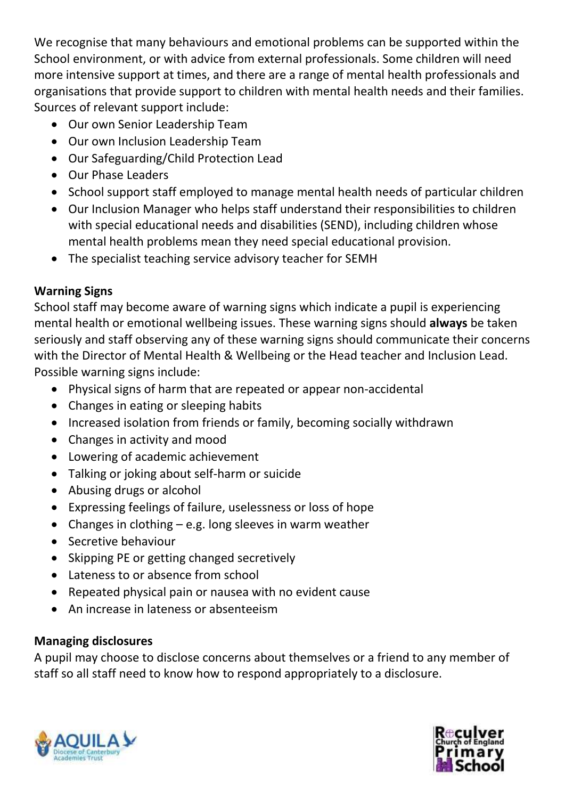We recognise that many behaviours and emotional problems can be supported within the School environment, or with advice from external professionals. Some children will need more intensive support at times, and there are a range of mental health professionals and organisations that provide support to children with mental health needs and their families. Sources of relevant support include:

- Our own Senior Leadership Team
- Our own Inclusion Leadership Team
- Our Safeguarding/Child Protection Lead
- Our Phase Leaders
- School support staff employed to manage mental health needs of particular children
- Our Inclusion Manager who helps staff understand their responsibilities to children with special educational needs and disabilities (SEND), including children whose mental health problems mean they need special educational provision.
- The specialist teaching service advisory teacher for SEMH

# **Warning Signs**

School staff may become aware of warning signs which indicate a pupil is experiencing mental health or emotional wellbeing issues. These warning signs should **always** be taken seriously and staff observing any of these warning signs should communicate their concerns with the Director of Mental Health & Wellbeing or the Head teacher and Inclusion Lead. Possible warning signs include:

- Physical signs of harm that are repeated or appear non-accidental
- Changes in eating or sleeping habits
- Increased isolation from friends or family, becoming socially withdrawn
- Changes in activity and mood
- Lowering of academic achievement
- Talking or joking about self-harm or suicide
- Abusing drugs or alcohol
- Expressing feelings of failure, uselessness or loss of hope
- Changes in clothing  $-$  e.g. long sleeves in warm weather
- Secretive behaviour
- Skipping PE or getting changed secretively
- Lateness to or absence from school
- Repeated physical pain or nausea with no evident cause
- An increase in lateness or absenteeism

# **Managing disclosures**

A pupil may choose to disclose concerns about themselves or a friend to any member of staff so all staff need to know how to respond appropriately to a disclosure.



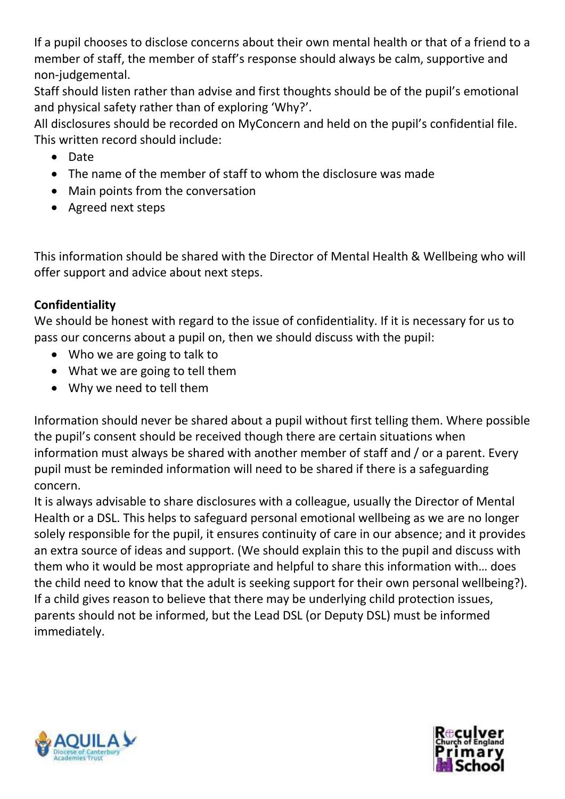If a pupil chooses to disclose concerns about their own mental health or that of a friend to a member of staff, the member of staff's response should always be calm, supportive and non-judgemental.

Staff should listen rather than advise and first thoughts should be of the pupil's emotional and physical safety rather than of exploring 'Why?'.

All disclosures should be recorded on MyConcern and held on the pupil's confidential file. This written record should include:

- Date
- The name of the member of staff to whom the disclosure was made
- Main points from the conversation
- Agreed next steps

This information should be shared with the Director of Mental Health & Wellbeing who will offer support and advice about next steps.

# **Confidentiality**

We should be honest with regard to the issue of confidentiality. If it is necessary for us to pass our concerns about a pupil on, then we should discuss with the pupil:

- Who we are going to talk to
- What we are going to tell them
- Why we need to tell them

Information should never be shared about a pupil without first telling them. Where possible the pupil's consent should be received though there are certain situations when information must always be shared with another member of staff and / or a parent. Every pupil must be reminded information will need to be shared if there is a safeguarding concern.

It is always advisable to share disclosures with a colleague, usually the Director of Mental Health or a DSL. This helps to safeguard personal emotional wellbeing as we are no longer solely responsible for the pupil, it ensures continuity of care in our absence; and it provides an extra source of ideas and support. (We should explain this to the pupil and discuss with them who it would be most appropriate and helpful to share this information with… does the child need to know that the adult is seeking support for their own personal wellbeing?). If a child gives reason to believe that there may be underlying child protection issues, parents should not be informed, but the Lead DSL (or Deputy DSL) must be informed immediately.



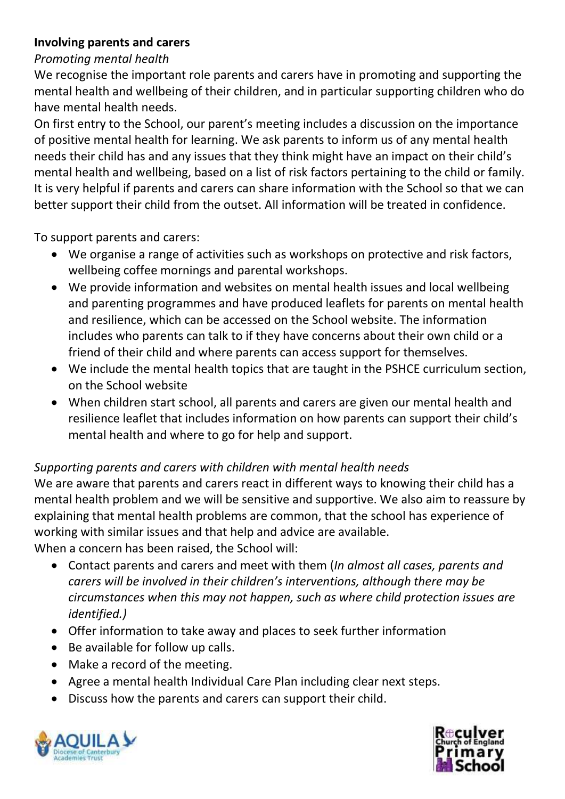#### **Involving parents and carers**

#### *Promoting mental health*

We recognise the important role parents and carers have in promoting and supporting the mental health and wellbeing of their children, and in particular supporting children who do have mental health needs.

On first entry to the School, our parent's meeting includes a discussion on the importance of positive mental health for learning. We ask parents to inform us of any mental health needs their child has and any issues that they think might have an impact on their child's mental health and wellbeing, based on a list of risk factors pertaining to the child or family. It is very helpful if parents and carers can share information with the School so that we can better support their child from the outset. All information will be treated in confidence.

To support parents and carers:

- We organise a range of activities such as workshops on protective and risk factors, wellbeing coffee mornings and parental workshops.
- We provide information and websites on mental health issues and local wellbeing and parenting programmes and have produced leaflets for parents on mental health and resilience, which can be accessed on the School website. The information includes who parents can talk to if they have concerns about their own child or a friend of their child and where parents can access support for themselves.
- We include the mental health topics that are taught in the PSHCE curriculum section, on the School website
- When children start school, all parents and carers are given our mental health and resilience leaflet that includes information on how parents can support their child's mental health and where to go for help and support.

#### *Supporting parents and carers with children with mental health needs*

We are aware that parents and carers react in different ways to knowing their child has a mental health problem and we will be sensitive and supportive. We also aim to reassure by explaining that mental health problems are common, that the school has experience of working with similar issues and that help and advice are available. When a concern has been raised, the School will:

- Contact parents and carers and meet with them (*In almost all cases, parents and carers will be involved in their children's interventions, although there may be circumstances when this may not happen, such as where child protection issues are identified.)*
- Offer information to take away and places to seek further information
- Be available for follow up calls.
- Make a record of the meeting.
- Agree a mental health Individual Care Plan including clear next steps.
- Discuss how the parents and carers can support their child.



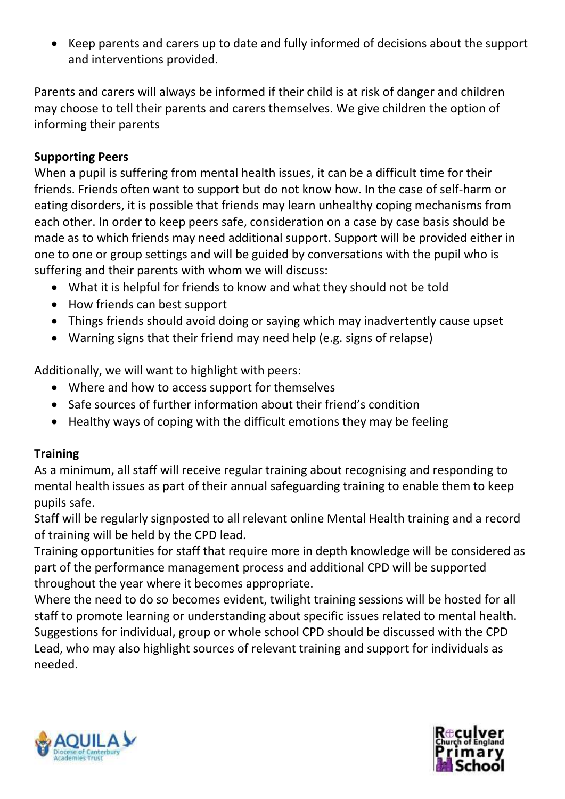Keep parents and carers up to date and fully informed of decisions about the support and interventions provided.

Parents and carers will always be informed if their child is at risk of danger and children may choose to tell their parents and carers themselves. We give children the option of informing their parents

#### **Supporting Peers**

When a pupil is suffering from mental health issues, it can be a difficult time for their friends. Friends often want to support but do not know how. In the case of self-harm or eating disorders, it is possible that friends may learn unhealthy coping mechanisms from each other. In order to keep peers safe, consideration on a case by case basis should be made as to which friends may need additional support. Support will be provided either in one to one or group settings and will be guided by conversations with the pupil who is suffering and their parents with whom we will discuss:

- What it is helpful for friends to know and what they should not be told
- How friends can best support
- Things friends should avoid doing or saying which may inadvertently cause upset
- Warning signs that their friend may need help (e.g. signs of relapse)

Additionally, we will want to highlight with peers:

- Where and how to access support for themselves
- Safe sources of further information about their friend's condition
- Healthy ways of coping with the difficult emotions they may be feeling

#### **Training**

As a minimum, all staff will receive regular training about recognising and responding to mental health issues as part of their annual safeguarding training to enable them to keep pupils safe.

Staff will be regularly signposted to all relevant online Mental Health training and a record of training will be held by the CPD lead.

Training opportunities for staff that require more in depth knowledge will be considered as part of the performance management process and additional CPD will be supported throughout the year where it becomes appropriate.

Where the need to do so becomes evident, twilight training sessions will be hosted for all staff to promote learning or understanding about specific issues related to mental health. Suggestions for individual, group or whole school CPD should be discussed with the CPD Lead, who may also highlight sources of relevant training and support for individuals as needed.